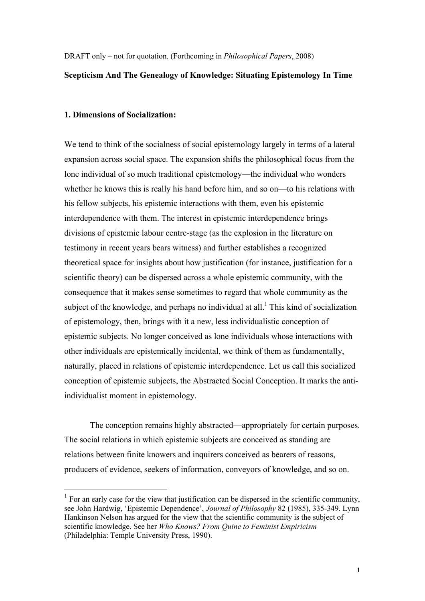DRAFT only – not for quotation. (Forthcoming in *Philosophical Papers*, 2008)

## **Scepticism And The Genealogy of Knowledge: Situating Epistemology In Time**

## **1. Dimensions of Socialization:**

 $\overline{a}$ 

We tend to think of the socialness of social epistemology largely in terms of a lateral expansion across social space. The expansion shifts the philosophical focus from the lone individual of so much traditional epistemology—the individual who wonders whether he knows this is really his hand before him, and so on—to his relations with his fellow subjects, his epistemic interactions with them, even his epistemic interdependence with them. The interest in epistemic interdependence brings divisions of epistemic labour centre-stage (as the explosion in the literature on testimony in recent years bears witness) and further establishes a recognized theoretical space for insights about how justification (for instance, justification for a scientific theory) can be dispersed across a whole epistemic community, with the consequence that it makes sense sometimes to regard that whole community as the subject of the knowledge, and perhaps no individual at all.<sup>1</sup> This kind of socialization of epistemology, then, brings with it a new, less individualistic conception of epistemic subjects. No longer conceived as lone individuals whose interactions with other individuals are epistemically incidental, we think of them as fundamentally, naturally, placed in relations of epistemic interdependence. Let us call this socialized conception of epistemic subjects, the Abstracted Social Conception. It marks the antiindividualist moment in epistemology.

The conception remains highly abstracted—appropriately for certain purposes. The social relations in which epistemic subjects are conceived as standing are relations between finite knowers and inquirers conceived as bearers of reasons, producers of evidence, seekers of information, conveyors of knowledge, and so on.

 $1$  For an early case for the view that justification can be dispersed in the scientific community, see John Hardwig, 'Epistemic Dependence', *Journal of Philosophy* 82 (1985), 335-349. Lynn Hankinson Nelson has argued for the view that the scientific community is the subject of scientific knowledge. See her *Who Knows? From Quine to Feminist Empiricism* (Philadelphia: Temple University Press, 1990).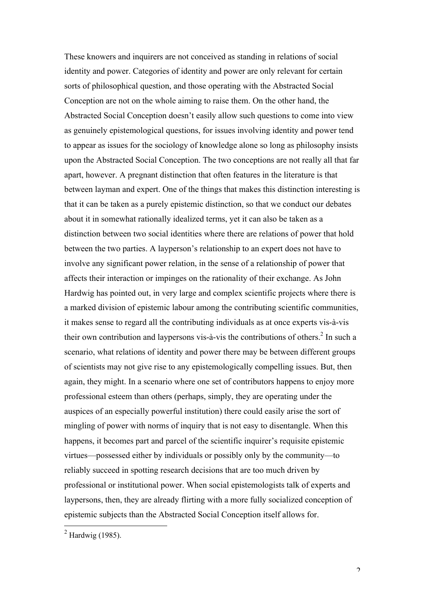These knowers and inquirers are not conceived as standing in relations of social identity and power. Categories of identity and power are only relevant for certain sorts of philosophical question, and those operating with the Abstracted Social Conception are not on the whole aiming to raise them. On the other hand, the Abstracted Social Conception doesn't easily allow such questions to come into view as genuinely epistemological questions, for issues involving identity and power tend to appear as issues for the sociology of knowledge alone so long as philosophy insists upon the Abstracted Social Conception. The two conceptions are not really all that far apart, however. A pregnant distinction that often features in the literature is that between layman and expert. One of the things that makes this distinction interesting is that it can be taken as a purely epistemic distinction, so that we conduct our debates about it in somewhat rationally idealized terms, yet it can also be taken as a distinction between two social identities where there are relations of power that hold between the two parties. A layperson's relationship to an expert does not have to involve any significant power relation, in the sense of a relationship of power that affects their interaction or impinges on the rationality of their exchange. As John Hardwig has pointed out, in very large and complex scientific projects where there is a marked division of epistemic labour among the contributing scientific communities, it makes sense to regard all the contributing individuals as at once experts vis-à-vis their own contribution and laypersons vis-à-vis the contributions of others.<sup>2</sup> In such a scenario, what relations of identity and power there may be between different groups of scientists may not give rise to any epistemologically compelling issues. But, then again, they might. In a scenario where one set of contributors happens to enjoy more professional esteem than others (perhaps, simply, they are operating under the auspices of an especially powerful institution) there could easily arise the sort of mingling of power with norms of inquiry that is not easy to disentangle. When this happens, it becomes part and parcel of the scientific inquirer's requisite epistemic virtues—possessed either by individuals or possibly only by the community—to reliably succeed in spotting research decisions that are too much driven by professional or institutional power. When social epistemologists talk of experts and laypersons, then, they are already flirting with a more fully socialized conception of epistemic subjects than the Abstracted Social Conception itself allows for.

<sup>&</sup>lt;sup>2</sup> Hardwig (1985).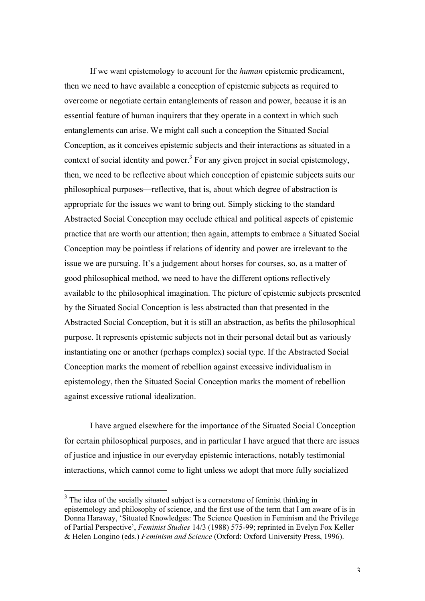If we want epistemology to account for the *human* epistemic predicament, then we need to have available a conception of epistemic subjects as required to overcome or negotiate certain entanglements of reason and power, because it is an essential feature of human inquirers that they operate in a context in which such entanglements can arise. We might call such a conception the Situated Social Conception, as it conceives epistemic subjects and their interactions as situated in a context of social identity and power.<sup>3</sup> For any given project in social epistemology, then, we need to be reflective about which conception of epistemic subjects suits our philosophical purposes—reflective, that is, about which degree of abstraction is appropriate for the issues we want to bring out. Simply sticking to the standard Abstracted Social Conception may occlude ethical and political aspects of epistemic practice that are worth our attention; then again, attempts to embrace a Situated Social Conception may be pointless if relations of identity and power are irrelevant to the issue we are pursuing. It's a judgement about horses for courses, so, as a matter of good philosophical method, we need to have the different options reflectively available to the philosophical imagination. The picture of epistemic subjects presented by the Situated Social Conception is less abstracted than that presented in the Abstracted Social Conception, but it is still an abstraction, as befits the philosophical purpose. It represents epistemic subjects not in their personal detail but as variously instantiating one or another (perhaps complex) social type. If the Abstracted Social Conception marks the moment of rebellion against excessive individualism in epistemology, then the Situated Social Conception marks the moment of rebellion against excessive rational idealization.

I have argued elsewhere for the importance of the Situated Social Conception for certain philosophical purposes, and in particular I have argued that there are issues of justice and injustice in our everyday epistemic interactions, notably testimonial interactions, which cannot come to light unless we adopt that more fully socialized

<sup>&</sup>lt;sup>3</sup> The idea of the socially situated subject is a cornerstone of feminist thinking in epistemology and philosophy of science, and the first use of the term that I am aware of is in Donna Haraway, 'Situated Knowledges: The Science Question in Feminism and the Privilege of Partial Perspective', *Feminist Studies* 14/3 (1988) 575-99; reprinted in Evelyn Fox Keller & Helen Longino (eds.) *Feminism and Science* (Oxford: Oxford University Press, 1996).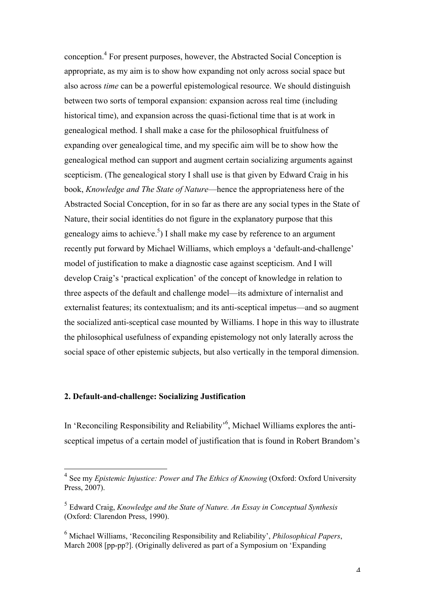conception.4 For present purposes, however, the Abstracted Social Conception is appropriate, as my aim is to show how expanding not only across social space but also across *time* can be a powerful epistemological resource. We should distinguish between two sorts of temporal expansion: expansion across real time (including historical time), and expansion across the quasi-fictional time that is at work in genealogical method. I shall make a case for the philosophical fruitfulness of expanding over genealogical time, and my specific aim will be to show how the genealogical method can support and augment certain socializing arguments against scepticism. (The genealogical story I shall use is that given by Edward Craig in his book, *Knowledge and The State of Nature*—hence the appropriateness here of the Abstracted Social Conception, for in so far as there are any social types in the State of Nature, their social identities do not figure in the explanatory purpose that this genealogy aims to achieve.<sup>5</sup>) I shall make my case by reference to an argument recently put forward by Michael Williams, which employs a 'default-and-challenge' model of justification to make a diagnostic case against scepticism. And I will develop Craig's 'practical explication' of the concept of knowledge in relation to three aspects of the default and challenge model—its admixture of internalist and externalist features; its contextualism; and its anti-sceptical impetus—and so augment the socialized anti-sceptical case mounted by Williams. I hope in this way to illustrate the philosophical usefulness of expanding epistemology not only laterally across the social space of other epistemic subjects, but also vertically in the temporal dimension.

# **2. Default-and-challenge: Socializing Justification**

 $\overline{a}$ 

In 'Reconciling Responsibility and Reliability'<sup>6</sup>, Michael Williams explores the antisceptical impetus of a certain model of justification that is found in Robert Brandom's

<sup>4</sup> See my *Epistemic Injustice: Power and The Ethics of Knowing* (Oxford: Oxford University Press, 2007).

<sup>5</sup> Edward Craig, *Knowledge and the State of Nature. An Essay in Conceptual Synthesis* (Oxford: Clarendon Press, 1990).

<sup>6</sup> Michael Williams, 'Reconciling Responsibility and Reliability', *Philosophical Papers*, March 2008 [pp-pp?]. (Originally delivered as part of a Symposium on 'Expanding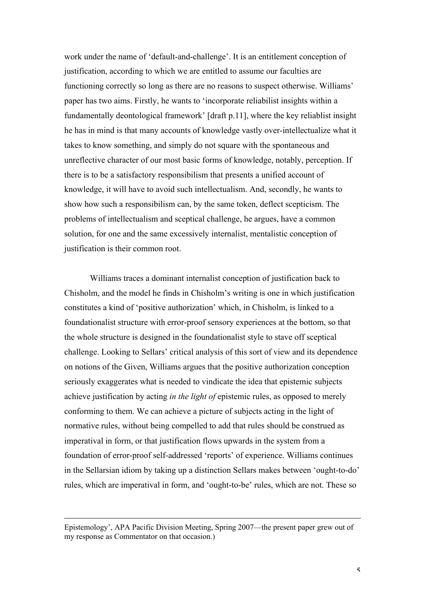work under the name of 'default-and-challenge'. It is an entitlement conception of justification, according to which we are entitled to assume our faculties are functioning correctly so long as there are no reasons to suspect otherwise. Williams' paper has two aims. Firstly, he wants to 'incorporate reliabilist insights within a fundamentally deontological framework' [draft p.11], where the key reliablist insight he has in mind is that many accounts of knowledge vastly over-intellectualize what it takes to know something, and simply do not square with the spontaneous and unreflective character of our most basic forms of knowledge, notably, perception. If there is to be a satisfactory responsibilism that presents a unified account of knowledge, it will have to avoid such intellectualism. And, secondly, he wants to show how such a responsibilism can, by the same token, deflect scepticism. The problems of intellectualism and sceptical challenge, he argues, have a common solution, for one and the same excessively internalist, mentalistic conception of justification is their common root.

Williams traces a dominant internalist conception of justification back to Chisholm, and the model he finds in Chisholm's writing is one in which justification constitutes a kind of 'positive authorization' which, in Chisholm, is linked to a foundationalist structure with error-proof sensory experiences at the bottom, so that the whole structure is designed in the foundationalist style to stave off sceptical challenge. Looking to Sellars' critical analysis of this sort of view and its dependence on notions of the Given, Williams argues that the positive authorization conception seriously exaggerates what is needed to vindicate the idea that epistemic subjects achieve justification by acting *in the light of* epistemic rules, as opposed to merely conforming to them. We can achieve a picture of subjects acting in the light of normative rules, without being compelled to add that rules should be construed as imperatival in form, or that justification flows upwards in the system from a foundation of error-proof self-addressed 'reports' of experience. Williams continues in the Sellarsian idiom by taking up a distinction Sellars makes between 'ought-to-do' rules, which are imperatival in form, and 'ought-to-be' rules, which are not. These so

Epistemology', APA Pacific Division Meeting, Spring 2007—the present paper grew out of my response as Commentator on that occasion.)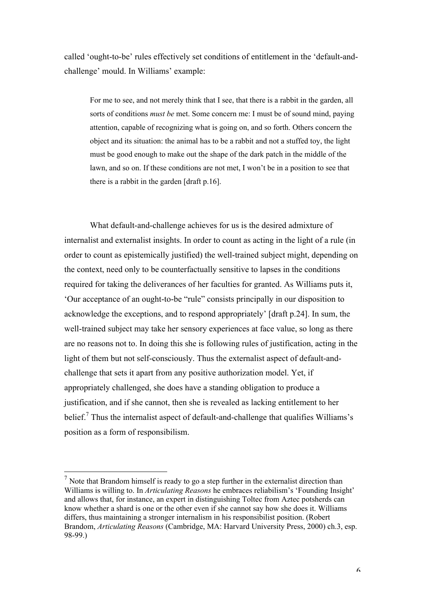called 'ought-to-be' rules effectively set conditions of entitlement in the 'default-andchallenge' mould. In Williams' example:

For me to see, and not merely think that I see, that there is a rabbit in the garden, all sorts of conditions *must be* met. Some concern me: I must be of sound mind, paying attention, capable of recognizing what is going on, and so forth. Others concern the object and its situation: the animal has to be a rabbit and not a stuffed toy, the light must be good enough to make out the shape of the dark patch in the middle of the lawn, and so on. If these conditions are not met, I won't be in a position to see that there is a rabbit in the garden [draft p.16].

What default-and-challenge achieves for us is the desired admixture of internalist and externalist insights. In order to count as acting in the light of a rule (in order to count as epistemically justified) the well-trained subject might, depending on the context, need only to be counterfactually sensitive to lapses in the conditions required for taking the deliverances of her faculties for granted. As Williams puts it, 'Our acceptance of an ought-to-be "rule" consists principally in our disposition to acknowledge the exceptions, and to respond appropriately' [draft p.24]. In sum, the well-trained subject may take her sensory experiences at face value, so long as there are no reasons not to. In doing this she is following rules of justification, acting in the light of them but not self-consciously. Thus the externalist aspect of default-andchallenge that sets it apart from any positive authorization model. Yet, if appropriately challenged, she does have a standing obligation to produce a justification, and if she cannot, then she is revealed as lacking entitlement to her belief.<sup>7</sup> Thus the internalist aspect of default-and-challenge that qualifies Williams's position as a form of responsibilism.

 $<sup>7</sup>$  Note that Brandom himself is ready to go a step further in the externalist direction than</sup> Williams is willing to. In *Articulating Reasons* he embraces reliabilism's 'Founding Insight' and allows that, for instance, an expert in distinguishing Toltec from Aztec potsherds can know whether a shard is one or the other even if she cannot say how she does it. Williams differs, thus maintaining a stronger internalism in his responsibilist position. (Robert Brandom, *Articulating Reasons* (Cambridge, MA: Harvard University Press, 2000) ch.3, esp. 98-99.)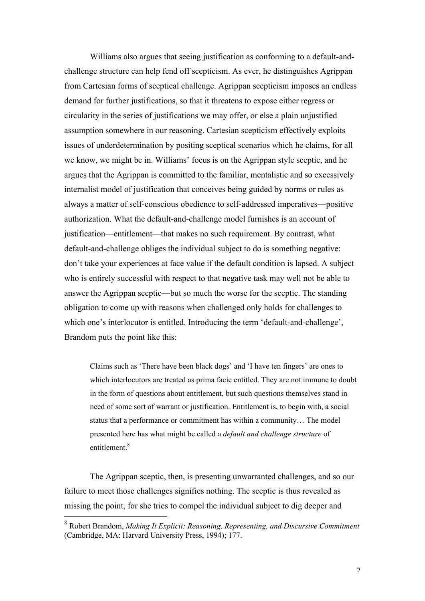Williams also argues that seeing justification as conforming to a default-andchallenge structure can help fend off scepticism. As ever, he distinguishes Agrippan from Cartesian forms of sceptical challenge. Agrippan scepticism imposes an endless demand for further justifications, so that it threatens to expose either regress or circularity in the series of justifications we may offer, or else a plain unjustified assumption somewhere in our reasoning. Cartesian scepticism effectively exploits issues of underdetermination by positing sceptical scenarios which he claims, for all we know, we might be in. Williams' focus is on the Agrippan style sceptic, and he argues that the Agrippan is committed to the familiar, mentalistic and so excessively internalist model of justification that conceives being guided by norms or rules as always a matter of self-conscious obedience to self-addressed imperatives—positive authorization. What the default-and-challenge model furnishes is an account of justification—entitlement—that makes no such requirement. By contrast, what default-and-challenge obliges the individual subject to do is something negative: don't take your experiences at face value if the default condition is lapsed. A subject who is entirely successful with respect to that negative task may well not be able to answer the Agrippan sceptic—but so much the worse for the sceptic. The standing obligation to come up with reasons when challenged only holds for challenges to which one's interlocutor is entitled. Introducing the term 'default-and-challenge', Brandom puts the point like this:

Claims such as 'There have been black dogs' and 'I have ten fingers' are ones to which interlocutors are treated as prima facie entitled. They are not immune to doubt in the form of questions about entitlement, but such questions themselves stand in need of some sort of warrant or justification. Entitlement is, to begin with, a social status that a performance or commitment has within a community… The model presented here has what might be called a *default and challenge structure* of entitlement<sup>8</sup>

The Agrippan sceptic, then, is presenting unwarranted challenges, and so our failure to meet those challenges signifies nothing. The sceptic is thus revealed as missing the point, for she tries to compel the individual subject to dig deeper and

<sup>8</sup> Robert Brandom, *Making It Explicit: Reasoning, Representing, and Discursive Commitment* (Cambridge, MA: Harvard University Press, 1994); 177.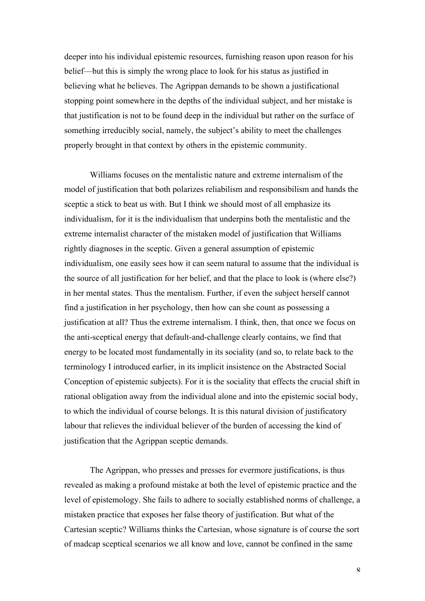deeper into his individual epistemic resources, furnishing reason upon reason for his belief—but this is simply the wrong place to look for his status as justified in believing what he believes. The Agrippan demands to be shown a justificational stopping point somewhere in the depths of the individual subject, and her mistake is that justification is not to be found deep in the individual but rather on the surface of something irreducibly social, namely, the subject's ability to meet the challenges properly brought in that context by others in the epistemic community.

Williams focuses on the mentalistic nature and extreme internalism of the model of justification that both polarizes reliabilism and responsibilism and hands the sceptic a stick to beat us with. But I think we should most of all emphasize its individualism, for it is the individualism that underpins both the mentalistic and the extreme internalist character of the mistaken model of justification that Williams rightly diagnoses in the sceptic. Given a general assumption of epistemic individualism, one easily sees how it can seem natural to assume that the individual is the source of all justification for her belief, and that the place to look is (where else?) in her mental states. Thus the mentalism. Further, if even the subject herself cannot find a justification in her psychology, then how can she count as possessing a justification at all? Thus the extreme internalism. I think, then, that once we focus on the anti-sceptical energy that default-and-challenge clearly contains, we find that energy to be located most fundamentally in its sociality (and so, to relate back to the terminology I introduced earlier, in its implicit insistence on the Abstracted Social Conception of epistemic subjects). For it is the sociality that effects the crucial shift in rational obligation away from the individual alone and into the epistemic social body, to which the individual of course belongs. It is this natural division of justificatory labour that relieves the individual believer of the burden of accessing the kind of justification that the Agrippan sceptic demands.

The Agrippan, who presses and presses for evermore justifications, is thus revealed as making a profound mistake at both the level of epistemic practice and the level of epistemology. She fails to adhere to socially established norms of challenge, a mistaken practice that exposes her false theory of justification. But what of the Cartesian sceptic? Williams thinks the Cartesian, whose signature is of course the sort of madcap sceptical scenarios we all know and love, cannot be confined in the same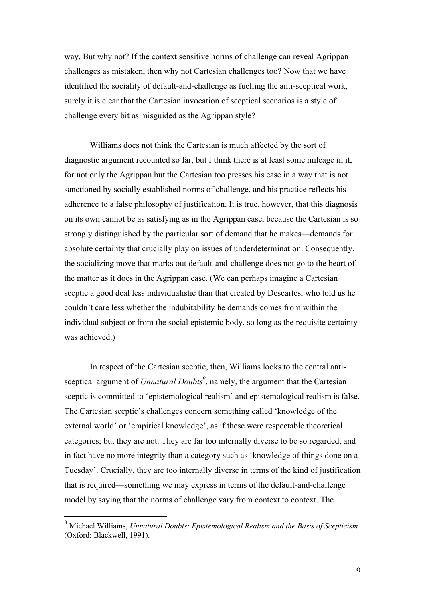way. But why not? If the context sensitive norms of challenge can reveal Agrippan challenges as mistaken, then why not Cartesian challenges too? Now that we have identified the sociality of default-and-challenge as fuelling the anti-sceptical work, surely it is clear that the Cartesian invocation of sceptical scenarios is a style of challenge every bit as misguided as the Agrippan style?

Williams does not think the Cartesian is much affected by the sort of diagnostic argument recounted so far, but I think there is at least some mileage in it, for not only the Agrippan but the Cartesian too presses his case in a way that is not sanctioned by socially established norms of challenge, and his practice reflects his adherence to a false philosophy of justification. It is true, however, that this diagnosis on its own cannot be as satisfying as in the Agrippan case, because the Cartesian is so strongly distinguished by the particular sort of demand that he makes—demands for absolute certainty that crucially play on issues of underdetermination. Consequently, the socializing move that marks out default-and-challenge does not go to the heart of the matter as it does in the Agrippan case. (We can perhaps imagine a Cartesian sceptic a good deal less individualistic than that created by Descartes, who told us he couldn't care less whether the indubitability he demands comes from within the individual subject or from the social epistemic body, so long as the requisite certainty was achieved.)

In respect of the Cartesian sceptic, then, Williams looks to the central antisceptical argument of *Unnatural Doubts*<sup>9</sup>, namely, the argument that the Cartesian sceptic is committed to 'epistemological realism' and epistemological realism is false. The Cartesian sceptic's challenges concern something called 'knowledge of the external world' or 'empirical knowledge', as if these were respectable theoretical categories; but they are not. They are far too internally diverse to be so regarded, and in fact have no more integrity than a category such as 'knowledge of things done on a Tuesday'. Crucially, they are too internally diverse in terms of the kind of justification that is required—something we may express in terms of the default-and-challenge model by saying that the norms of challenge vary from context to context. The

<sup>9</sup> Michael Williams, *Unnatural Doubts: Epistemological Realism and the Basis of Scepticism* (Oxford: Blackwell, 1991).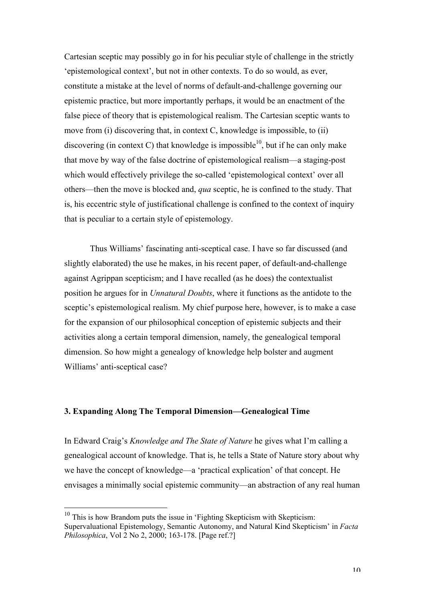Cartesian sceptic may possibly go in for his peculiar style of challenge in the strictly 'epistemological context', but not in other contexts. To do so would, as ever, constitute a mistake at the level of norms of default-and-challenge governing our epistemic practice, but more importantly perhaps, it would be an enactment of the false piece of theory that is epistemological realism. The Cartesian sceptic wants to move from (i) discovering that, in context C, knowledge is impossible, to (ii) discovering (in context C) that knowledge is impossible<sup>10</sup>, but if he can only make that move by way of the false doctrine of epistemological realism—a staging-post which would effectively privilege the so-called 'epistemological context' over all others—then the move is blocked and, *qua* sceptic, he is confined to the study. That is, his eccentric style of justificational challenge is confined to the context of inquiry that is peculiar to a certain style of epistemology.

Thus Williams' fascinating anti-sceptical case. I have so far discussed (and slightly elaborated) the use he makes, in his recent paper, of default-and-challenge against Agrippan scepticism; and I have recalled (as he does) the contextualist position he argues for in *Unnatural Doubts*, where it functions as the antidote to the sceptic's epistemological realism. My chief purpose here, however, is to make a case for the expansion of our philosophical conception of epistemic subjects and their activities along a certain temporal dimension, namely, the genealogical temporal dimension. So how might a genealogy of knowledge help bolster and augment Williams' anti-sceptical case?

## **3. Expanding Along The Temporal Dimension—Genealogical Time**

 $\overline{a}$ 

In Edward Craig's *Knowledge and The State of Nature* he gives what I'm calling a genealogical account of knowledge. That is, he tells a State of Nature story about why we have the concept of knowledge—a 'practical explication' of that concept. He envisages a minimally social epistemic community—an abstraction of any real human

 $10$  This is how Brandom puts the issue in 'Fighting Skepticism with Skepticism: Supervaluational Epistemology, Semantic Autonomy, and Natural Kind Skepticism' in *Facta Philosophica*, Vol 2 No 2, 2000; 163-178. [Page ref.?]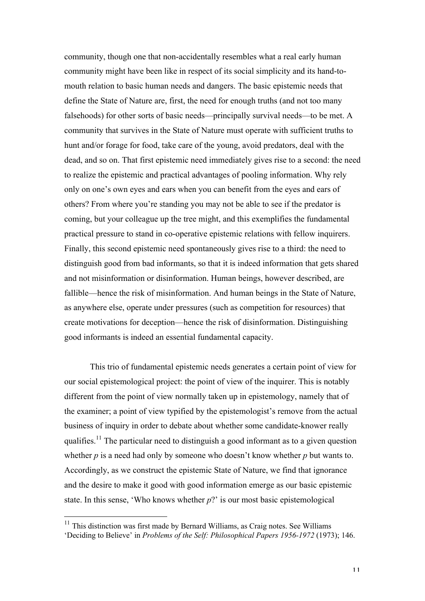community, though one that non-accidentally resembles what a real early human community might have been like in respect of its social simplicity and its hand-tomouth relation to basic human needs and dangers. The basic epistemic needs that define the State of Nature are, first, the need for enough truths (and not too many falsehoods) for other sorts of basic needs—principally survival needs—to be met. A community that survives in the State of Nature must operate with sufficient truths to hunt and/or forage for food, take care of the young, avoid predators, deal with the dead, and so on. That first epistemic need immediately gives rise to a second: the need to realize the epistemic and practical advantages of pooling information. Why rely only on one's own eyes and ears when you can benefit from the eyes and ears of others? From where you're standing you may not be able to see if the predator is coming, but your colleague up the tree might, and this exemplifies the fundamental practical pressure to stand in co-operative epistemic relations with fellow inquirers. Finally, this second epistemic need spontaneously gives rise to a third: the need to distinguish good from bad informants, so that it is indeed information that gets shared and not misinformation or disinformation. Human beings, however described, are fallible—hence the risk of misinformation. And human beings in the State of Nature, as anywhere else, operate under pressures (such as competition for resources) that create motivations for deception—hence the risk of disinformation. Distinguishing good informants is indeed an essential fundamental capacity.

This trio of fundamental epistemic needs generates a certain point of view for our social epistemological project: the point of view of the inquirer. This is notably different from the point of view normally taken up in epistemology, namely that of the examiner; a point of view typified by the epistemologist's remove from the actual business of inquiry in order to debate about whether some candidate-knower really qualifies.<sup>11</sup> The particular need to distinguish a good informant as to a given question whether *p* is a need had only by someone who doesn't know whether *p* but wants to. Accordingly, as we construct the epistemic State of Nature, we find that ignorance and the desire to make it good with good information emerge as our basic epistemic state. In this sense, 'Who knows whether  $p$ ?' is our most basic epistemological

 $11$  This distinction was first made by Bernard Williams, as Craig notes. See Williams 'Deciding to Believe' in *Problems of the Self: Philosophical Papers 1956-1972* (1973); 146.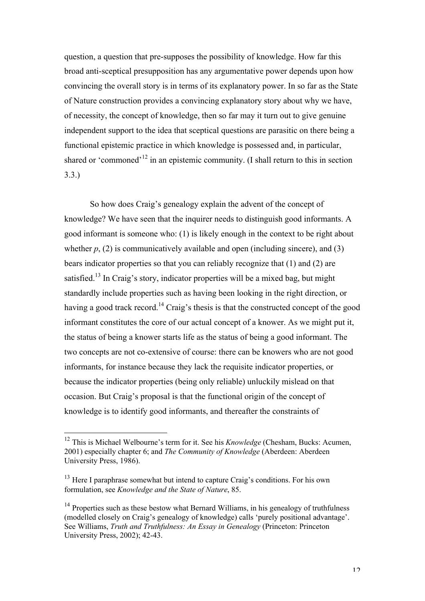question, a question that pre-supposes the possibility of knowledge. How far this broad anti-sceptical presupposition has any argumentative power depends upon how convincing the overall story is in terms of its explanatory power. In so far as the State of Nature construction provides a convincing explanatory story about why we have, of necessity, the concept of knowledge, then so far may it turn out to give genuine independent support to the idea that sceptical questions are parasitic on there being a functional epistemic practice in which knowledge is possessed and, in particular, shared or 'commoned'<sup>12</sup> in an epistemic community. (I shall return to this in section 3.3.)

So how does Craig's genealogy explain the advent of the concept of knowledge? We have seen that the inquirer needs to distinguish good informants. A good informant is someone who: (1) is likely enough in the context to be right about whether  $p$ , (2) is communicatively available and open (including sincere), and (3) bears indicator properties so that you can reliably recognize that (1) and (2) are satisfied.<sup>13</sup> In Craig's story, indicator properties will be a mixed bag, but might standardly include properties such as having been looking in the right direction, or having a good track record.<sup>14</sup> Craig's thesis is that the constructed concept of the good informant constitutes the core of our actual concept of a knower. As we might put it, the status of being a knower starts life as the status of being a good informant. The two concepts are not co-extensive of course: there can be knowers who are not good informants, for instance because they lack the requisite indicator properties, or because the indicator properties (being only reliable) unluckily mislead on that occasion. But Craig's proposal is that the functional origin of the concept of knowledge is to identify good informants, and thereafter the constraints of

<sup>&</sup>lt;sup>12</sup> This is Michael Welbourne's term for it. See his *Knowledge* (Chesham, Bucks: Acumen, 2001) especially chapter 6; and *The Community of Knowledge* (Aberdeen: Aberdeen University Press, 1986).

 $13$  Here I paraphrase somewhat but intend to capture Craig's conditions. For his own formulation, see *Knowledge and the State of Nature*, 85.

 $14$  Properties such as these bestow what Bernard Williams, in his genealogy of truthfulness (modelled closely on Craig's genealogy of knowledge) calls 'purely positional advantage'. See Williams, *Truth and Truthfulness: An Essay in Genealogy* (Princeton: Princeton University Press, 2002); 42-43.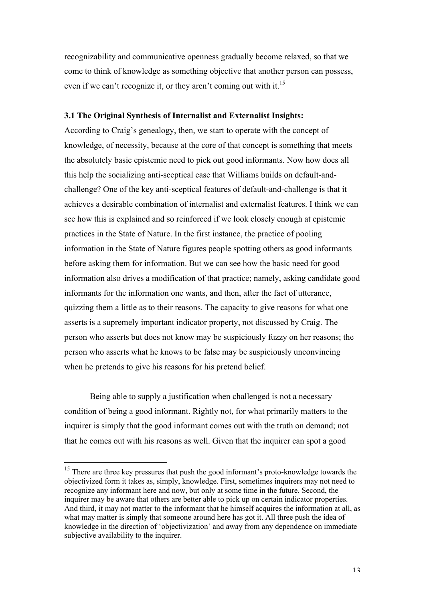recognizability and communicative openness gradually become relaxed, so that we come to think of knowledge as something objective that another person can possess, even if we can't recognize it, or they aren't coming out with it.<sup>15</sup>

## **3.1 The Original Synthesis of Internalist and Externalist Insights:**

According to Craig's genealogy, then, we start to operate with the concept of knowledge, of necessity, because at the core of that concept is something that meets the absolutely basic epistemic need to pick out good informants. Now how does all this help the socializing anti-sceptical case that Williams builds on default-andchallenge? One of the key anti-sceptical features of default-and-challenge is that it achieves a desirable combination of internalist and externalist features. I think we can see how this is explained and so reinforced if we look closely enough at epistemic practices in the State of Nature. In the first instance, the practice of pooling information in the State of Nature figures people spotting others as good informants before asking them for information. But we can see how the basic need for good information also drives a modification of that practice; namely, asking candidate good informants for the information one wants, and then, after the fact of utterance, quizzing them a little as to their reasons. The capacity to give reasons for what one asserts is a supremely important indicator property, not discussed by Craig. The person who asserts but does not know may be suspiciously fuzzy on her reasons; the person who asserts what he knows to be false may be suspiciously unconvincing when he pretends to give his reasons for his pretend belief.

Being able to supply a justification when challenged is not a necessary condition of being a good informant. Rightly not, for what primarily matters to the inquirer is simply that the good informant comes out with the truth on demand; not that he comes out with his reasons as well. Given that the inquirer can spot a good

<sup>&</sup>lt;sup>15</sup> There are three key pressures that push the good informant's proto-knowledge towards the objectivized form it takes as, simply, knowledge. First, sometimes inquirers may not need to recognize any informant here and now, but only at some time in the future. Second, the inquirer may be aware that others are better able to pick up on certain indicator properties. And third, it may not matter to the informant that he himself acquires the information at all, as what may matter is simply that someone around here has got it. All three push the idea of knowledge in the direction of 'objectivization' and away from any dependence on immediate subjective availability to the inquirer.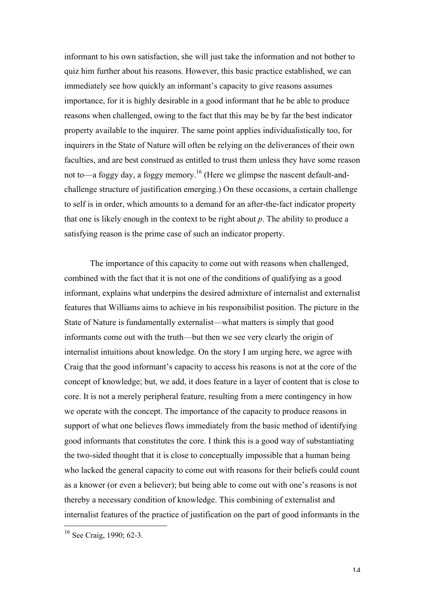informant to his own satisfaction, she will just take the information and not bother to quiz him further about his reasons. However, this basic practice established, we can immediately see how quickly an informant's capacity to give reasons assumes importance, for it is highly desirable in a good informant that he be able to produce reasons when challenged, owing to the fact that this may be by far the best indicator property available to the inquirer. The same point applies individualistically too, for inquirers in the State of Nature will often be relying on the deliverances of their own faculties, and are best construed as entitled to trust them unless they have some reason not to—a foggy day, a foggy memory.<sup>16</sup> (Here we glimpse the nascent default-andchallenge structure of justification emerging.) On these occasions, a certain challenge to self is in order, which amounts to a demand for an after-the-fact indicator property that one is likely enough in the context to be right about *p*. The ability to produce a satisfying reason is the prime case of such an indicator property.

The importance of this capacity to come out with reasons when challenged, combined with the fact that it is not one of the conditions of qualifying as a good informant, explains what underpins the desired admixture of internalist and externalist features that Williams aims to achieve in his responsibilist position. The picture in the State of Nature is fundamentally externalist—what matters is simply that good informants come out with the truth—but then we see very clearly the origin of internalist intuitions about knowledge. On the story I am urging here, we agree with Craig that the good informant's capacity to access his reasons is not at the core of the concept of knowledge; but, we add, it does feature in a layer of content that is close to core. It is not a merely peripheral feature, resulting from a mere contingency in how we operate with the concept. The importance of the capacity to produce reasons in support of what one believes flows immediately from the basic method of identifying good informants that constitutes the core. I think this is a good way of substantiating the two-sided thought that it is close to conceptually impossible that a human being who lacked the general capacity to come out with reasons for their beliefs could count as a knower (or even a believer); but being able to come out with one's reasons is not thereby a necessary condition of knowledge. This combining of externalist and internalist features of the practice of justification on the part of good informants in the

 $16$  See Craig, 1990; 62-3.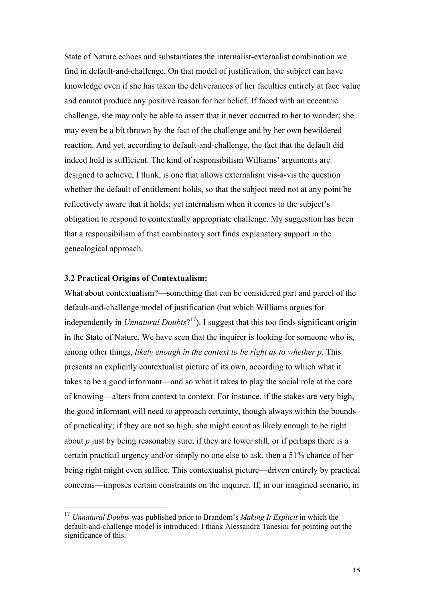State of Nature echoes and substantiates the internalist-externalist combination we find in default-and-challenge. On that model of justification, the subject can have knowledge even if she has taken the deliverances of her faculties entirely at face value and cannot produce any positive reason for her belief. If faced with an eccentric challenge, she may only be able to assert that it never occurred to her to wonder; she may even be a bit thrown by the fact of the challenge and by her own bewildered reaction. And yet, according to default-and-challenge, the fact that the default did indeed hold is sufficient. The kind of responsibilism Williams' arguments are designed to achieve, I think, is one that allows externalism vis-à-vis the question whether the default of entitlement holds, so that the subject need not at any point be reflectively aware that it holds; yet internalism when it comes to the subject's obligation to respond to contextually appropriate challenge. My suggestion has been that a responsibilism of that combinatory sort finds explanatory support in the genealogical approach.

## **3.2 Practical Origins of Contextualism:**

 $\overline{a}$ 

What about contextualism?—something that can be considered part and parcel of the default-and-challenge model of justification (but which Williams argues for independently in *Unnatural Doubts*? 17 ). I suggest that this too finds significant origin in the State of Nature. We have seen that the inquirer is looking for someone who is, among other things, *likely enough in the context to be right as to whether p*. This presents an explicitly contextualist picture of its own, according to which what it takes to be a good informant—and so what it takes to play the social role at the core of knowing—alters from context to context. For instance, if the stakes are very high, the good informant will need to approach certainty, though always within the bounds of practicality; if they are not so high, she might count as likely enough to be right about *p* just by being reasonably sure; if they are lower still, or if perhaps there is a certain practical urgency and/or simply no one else to ask, then a 51% chance of her being right might even suffice. This contextualist picture—driven entirely by practical concerns—imposes certain constraints on the inquirer. If, in our imagined scenario, in

<sup>17</sup> *Unnatural Doubts* was published prior to Brandom's *Making It Explicit* in which the default-and-challenge model is introduced. I thank Alessandra Tanesini for pointing out the significance of this.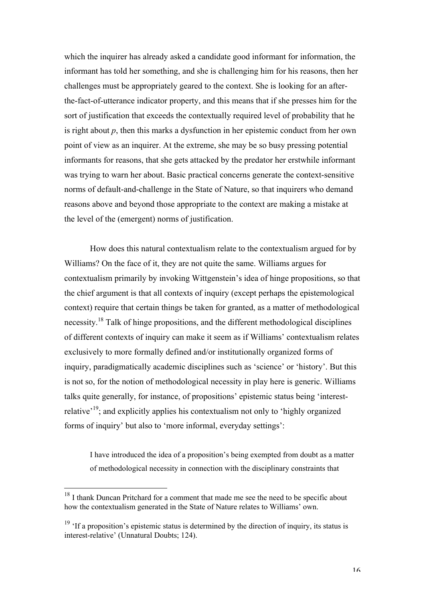which the inquirer has already asked a candidate good informant for information, the informant has told her something, and she is challenging him for his reasons, then her challenges must be appropriately geared to the context. She is looking for an afterthe-fact-of-utterance indicator property, and this means that if she presses him for the sort of justification that exceeds the contextually required level of probability that he is right about *p*, then this marks a dysfunction in her epistemic conduct from her own point of view as an inquirer. At the extreme, she may be so busy pressing potential informants for reasons, that she gets attacked by the predator her erstwhile informant was trying to warn her about. Basic practical concerns generate the context-sensitive norms of default-and-challenge in the State of Nature, so that inquirers who demand reasons above and beyond those appropriate to the context are making a mistake at the level of the (emergent) norms of justification.

How does this natural contextualism relate to the contextualism argued for by Williams? On the face of it, they are not quite the same. Williams argues for contextualism primarily by invoking Wittgenstein's idea of hinge propositions, so that the chief argument is that all contexts of inquiry (except perhaps the epistemological context) require that certain things be taken for granted, as a matter of methodological necessity.<sup>18</sup> Talk of hinge propositions, and the different methodological disciplines of different contexts of inquiry can make it seem as if Williams' contextualism relates exclusively to more formally defined and/or institutionally organized forms of inquiry, paradigmatically academic disciplines such as 'science' or 'history'. But this is not so, for the notion of methodological necessity in play here is generic. Williams talks quite generally, for instance, of propositions' epistemic status being 'interestrelative<sup>, 19</sup>; and explicitly applies his contextualism not only to 'highly organized forms of inquiry' but also to 'more informal, everyday settings':

I have introduced the idea of a proposition's being exempted from doubt as a matter of methodological necessity in connection with the disciplinary constraints that

<sup>&</sup>lt;sup>18</sup> I thank Duncan Pritchard for a comment that made me see the need to be specific about how the contextualism generated in the State of Nature relates to Williams' own.

 $19$  'If a proposition's epistemic status is determined by the direction of inquiry, its status is interest-relative' (Unnatural Doubts; 124).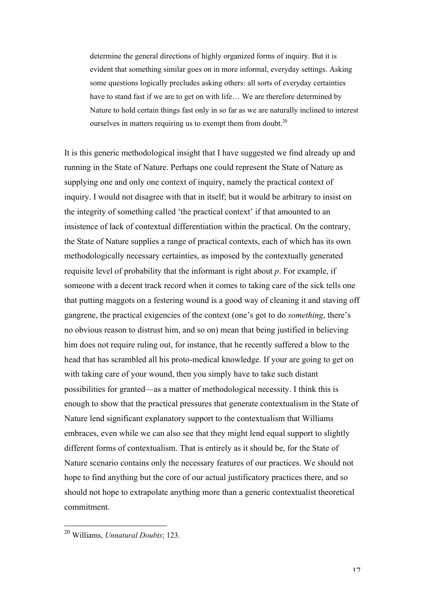determine the general directions of highly organized forms of inquiry. But it is evident that something similar goes on in more informal, everyday settings. Asking some questions logically precludes asking others: all sorts of everyday certainties have to stand fast if we are to get on with life... We are therefore determined by Nature to hold certain things fast only in so far as we are naturally inclined to interest ourselves in matters requiring us to exempt them from doubt. $2^{0}$ 

It is this generic methodological insight that I have suggested we find already up and running in the State of Nature. Perhaps one could represent the State of Nature as supplying one and only one context of inquiry, namely the practical context of inquiry. I would not disagree with that in itself; but it would be arbitrary to insist on the integrity of something called 'the practical context' if that amounted to an insistence of lack of contextual differentiation within the practical. On the contrary, the State of Nature supplies a range of practical contexts, each of which has its own methodologically necessary certainties, as imposed by the contextually generated requisite level of probability that the informant is right about *p*. For example, if someone with a decent track record when it comes to taking care of the sick tells one that putting maggots on a festering wound is a good way of cleaning it and staving off gangrene, the practical exigencies of the context (one's got to do *something*, there's no obvious reason to distrust him, and so on) mean that being justified in believing him does not require ruling out, for instance, that he recently suffered a blow to the head that has scrambled all his proto-medical knowledge. If your are going to get on with taking care of your wound, then you simply have to take such distant possibilities for granted—as a matter of methodological necessity. I think this is enough to show that the practical pressures that generate contextualism in the State of Nature lend significant explanatory support to the contextualism that Williams embraces, even while we can also see that they might lend equal support to slightly different forms of contextualism. That is entirely as it should be, for the State of Nature scenario contains only the necessary features of our practices. We should not hope to find anything but the core of our actual justificatory practices there, and so should not hope to extrapolate anything more than a generic contextualist theoretical commitment.

<sup>20</sup> Williams, *Unnatural Doubts*; 123.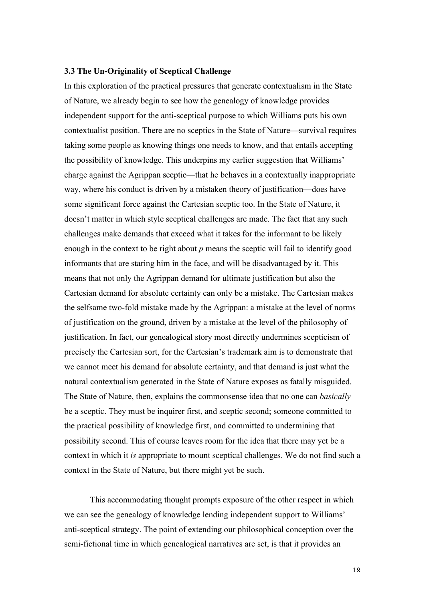#### **3.3 The Un-Originality of Sceptical Challenge**

In this exploration of the practical pressures that generate contextualism in the State of Nature, we already begin to see how the genealogy of knowledge provides independent support for the anti-sceptical purpose to which Williams puts his own contextualist position. There are no sceptics in the State of Nature—survival requires taking some people as knowing things one needs to know, and that entails accepting the possibility of knowledge. This underpins my earlier suggestion that Williams' charge against the Agrippan sceptic—that he behaves in a contextually inappropriate way, where his conduct is driven by a mistaken theory of justification—does have some significant force against the Cartesian sceptic too. In the State of Nature, it doesn't matter in which style sceptical challenges are made. The fact that any such challenges make demands that exceed what it takes for the informant to be likely enough in the context to be right about *p* means the sceptic will fail to identify good informants that are staring him in the face, and will be disadvantaged by it. This means that not only the Agrippan demand for ultimate justification but also the Cartesian demand for absolute certainty can only be a mistake. The Cartesian makes the selfsame two-fold mistake made by the Agrippan: a mistake at the level of norms of justification on the ground, driven by a mistake at the level of the philosophy of justification. In fact, our genealogical story most directly undermines scepticism of precisely the Cartesian sort, for the Cartesian's trademark aim is to demonstrate that we cannot meet his demand for absolute certainty, and that demand is just what the natural contextualism generated in the State of Nature exposes as fatally misguided. The State of Nature, then, explains the commonsense idea that no one can *basically* be a sceptic. They must be inquirer first, and sceptic second; someone committed to the practical possibility of knowledge first, and committed to undermining that possibility second. This of course leaves room for the idea that there may yet be a context in which it *is* appropriate to mount sceptical challenges. We do not find such a context in the State of Nature, but there might yet be such.

This accommodating thought prompts exposure of the other respect in which we can see the genealogy of knowledge lending independent support to Williams' anti-sceptical strategy. The point of extending our philosophical conception over the semi-fictional time in which genealogical narratives are set, is that it provides an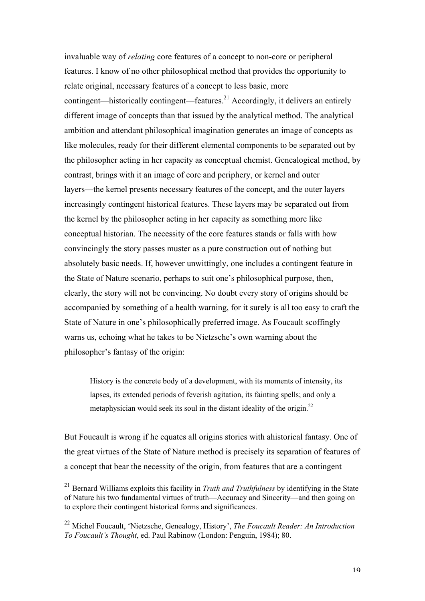invaluable way of *relating* core features of a concept to non-core or peripheral features. I know of no other philosophical method that provides the opportunity to relate original, necessary features of a concept to less basic, more contingent—historically contingent—features.<sup>21</sup> Accordingly, it delivers an entirely different image of concepts than that issued by the analytical method. The analytical ambition and attendant philosophical imagination generates an image of concepts as like molecules, ready for their different elemental components to be separated out by the philosopher acting in her capacity as conceptual chemist. Genealogical method, by contrast, brings with it an image of core and periphery, or kernel and outer layers—the kernel presents necessary features of the concept, and the outer layers increasingly contingent historical features. These layers may be separated out from the kernel by the philosopher acting in her capacity as something more like conceptual historian. The necessity of the core features stands or falls with how convincingly the story passes muster as a pure construction out of nothing but absolutely basic needs. If, however unwittingly, one includes a contingent feature in the State of Nature scenario, perhaps to suit one's philosophical purpose, then, clearly, the story will not be convincing. No doubt every story of origins should be accompanied by something of a health warning, for it surely is all too easy to craft the State of Nature in one's philosophically preferred image. As Foucault scoffingly warns us, echoing what he takes to be Nietzsche's own warning about the philosopher's fantasy of the origin:

History is the concrete body of a development, with its moments of intensity, its lapses, its extended periods of feverish agitation, its fainting spells; and only a metaphysician would seek its soul in the distant ideality of the origin.<sup>22</sup>

But Foucault is wrong if he equates all origins stories with ahistorical fantasy. One of the great virtues of the State of Nature method is precisely its separation of features of a concept that bear the necessity of the origin, from features that are a contingent

<sup>21</sup> Bernard Williams exploits this facility in *Truth and Truthfulness* by identifying in the State of Nature his two fundamental virtues of truth—Accuracy and Sincerity—and then going on to explore their contingent historical forms and significances.

<sup>22</sup> Michel Foucault, 'Nietzsche, Genealogy, History', *The Foucault Reader: An Introduction To Foucault's Thought*, ed. Paul Rabinow (London: Penguin, 1984); 80.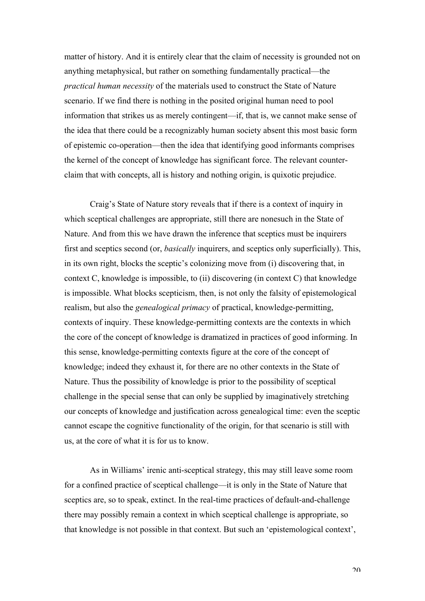matter of history. And it is entirely clear that the claim of necessity is grounded not on anything metaphysical, but rather on something fundamentally practical—the *practical human necessity* of the materials used to construct the State of Nature scenario. If we find there is nothing in the posited original human need to pool information that strikes us as merely contingent—if, that is, we cannot make sense of the idea that there could be a recognizably human society absent this most basic form of epistemic co-operation—then the idea that identifying good informants comprises the kernel of the concept of knowledge has significant force. The relevant counterclaim that with concepts, all is history and nothing origin, is quixotic prejudice.

Craig's State of Nature story reveals that if there is a context of inquiry in which sceptical challenges are appropriate, still there are nonesuch in the State of Nature. And from this we have drawn the inference that sceptics must be inquirers first and sceptics second (or, *basically* inquirers, and sceptics only superficially). This, in its own right, blocks the sceptic's colonizing move from (i) discovering that, in context C, knowledge is impossible, to (ii) discovering (in context C) that knowledge is impossible. What blocks scepticism, then, is not only the falsity of epistemological realism, but also the *genealogical primacy* of practical, knowledge-permitting, contexts of inquiry. These knowledge-permitting contexts are the contexts in which the core of the concept of knowledge is dramatized in practices of good informing. In this sense, knowledge-permitting contexts figure at the core of the concept of knowledge; indeed they exhaust it, for there are no other contexts in the State of Nature. Thus the possibility of knowledge is prior to the possibility of sceptical challenge in the special sense that can only be supplied by imaginatively stretching our concepts of knowledge and justification across genealogical time: even the sceptic cannot escape the cognitive functionality of the origin, for that scenario is still with us, at the core of what it is for us to know.

As in Williams' irenic anti-sceptical strategy, this may still leave some room for a confined practice of sceptical challenge—it is only in the State of Nature that sceptics are, so to speak, extinct. In the real-time practices of default-and-challenge there may possibly remain a context in which sceptical challenge is appropriate, so that knowledge is not possible in that context. But such an 'epistemological context',